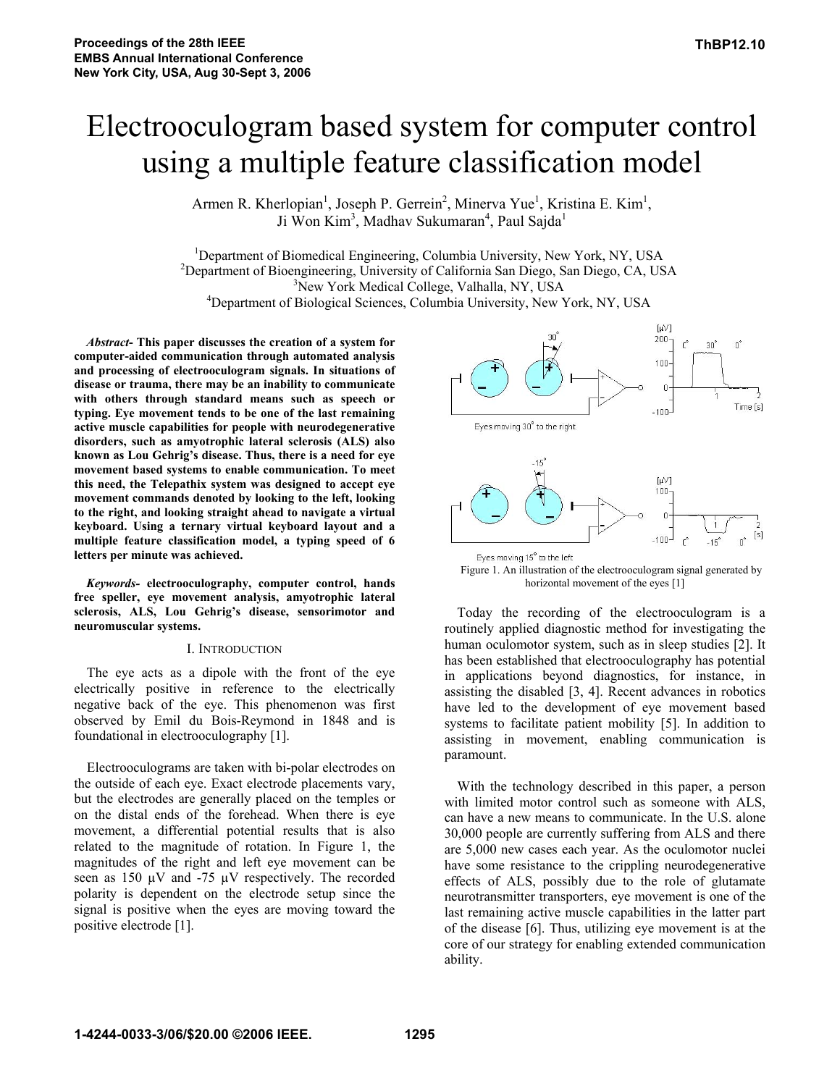# Electrooculogram based system for computer control using a multiple feature classification model

Armen R. Kherlopian<sup>1</sup>, Joseph P. Gerrein<sup>2</sup>, Minerva Yue<sup>1</sup>, Kristina E. Kim<sup>1</sup>, Ji Won Kim<sup>3</sup>, Madhav Sukumaran<sup>4</sup>, Paul Sajda<sup>1</sup>

<sup>1</sup>Department of Biomedical Engineering, Columbia University, New York, NY, USA<br><sup>2</sup>Department of Biograpeoring, University of Colifornia San Diago, San Diago, CA, US <sup>2</sup>Department of Bioengineering, University of California San Diego, San Diego, CA, USA <sup>3</sup>New York Medical College, Valhalla, NY, USA Department of Biological Sciences, Columbia University, New York, NY, USA

*Abstract***- This paper discusses the creation of a system for computer-aided communication through automated analysis and processing of electrooculogram signals. In situations of disease or trauma, there may be an inability to communicate with others through standard means such as speech or typing. Eye movement tends to be one of the last remaining active muscle capabilities for people with neurodegenerative disorders, such as amyotrophic lateral sclerosis (ALS) also known as Lou Gehrig's disease. Thus, there is a need for eye movement based systems to enable communication. To meet this need, the Telepathix system was designed to accept eye movement commands denoted by looking to the left, looking to the right, and looking straight ahead to navigate a virtual keyboard. Using a ternary virtual keyboard layout and a multiple feature classification model, a typing speed of 6 letters per minute was achieved.**

*Keywords-* **electrooculography, computer control, hands free speller, eye movement analysis, amyotrophic lateral sclerosis, ALS, Lou Gehrig's disease, sensorimotor and neuromuscular systems.**

# I. INTRODUCTION

The eye acts as a dipole with the front of the eye electrically positive in reference to the electrically negative back of the eye. This phenomenon was first observed by Emil du Bois-Reymond in 1848 and is foundational in electrooculography [1].

Electrooculograms are taken with bi-polar electrodes on the outside of each eye. Exact electrode placements vary, but the electrodes are generally placed on the temples or on the distal ends of the forehead. When there is eye movement, a differential potential results that is also related to the magnitude of rotation. In Figure 1, the magnitudes of the right and left eye movement can be seen as 150  $\mu$ V and -75  $\mu$ V respectively. The recorded polarity is dependent on the electrode setup since the signal is positive when the eyes are moving toward the positive electrode [1].





Today the recording of the electrooculogram is a routinely applied diagnostic method for investigating the human oculomotor system, such as in sleep studies [2]. It has been established that electrooculography has potential in applications beyond diagnostics, for instance, in assisting the disabled [3, 4]. Recent advances in robotics have led to the development of eye movement based systems to facilitate patient mobility [5]. In addition to assisting in movement, enabling communication is paramount.

With the technology described in this paper, a person with limited motor control such as someone with ALS, can have a new means to communicate. In the U.S. alone 30,000 people are currently suffering from ALS and there are 5,000 new cases each year. As the oculomotor nuclei have some resistance to the crippling neurodegenerative effects of ALS, possibly due to the role of glutamate neurotransmitter transporters, eye movement is one of the last remaining active muscle capabilities in the latter part of the disease [6]. Thus, utilizing eye movement is at the core of our strategy for enabling extended communication ability.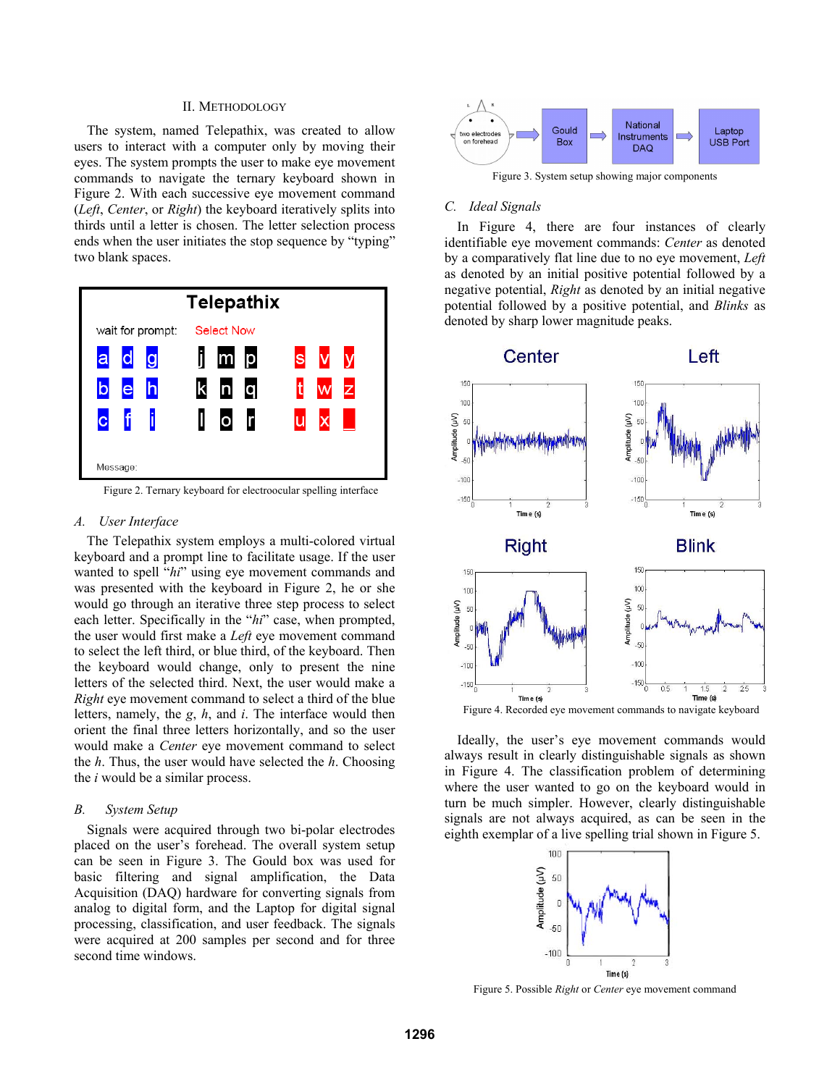# II. METHODOLOGY

The system, named Telepathix, was created to allow users to interact with a computer only by moving their eyes. The system prompts the user to make eye movement commands to navigate the ternary keyboard shown in Figure 2. With each successive eye movement command (*Left*, *Center*, or *Right*) the keyboard iteratively splits into thirds until a letter is chosen. The letter selection process ends when the user initiates the stop sequence by "typing" two blank spaces.



Figure 2. Ternary keyboard for electroocular spelling interface

## *A. User Interface*

The Telepathix system employs a multi-colored virtual keyboard and a prompt line to facilitate usage. If the user wanted to spell "*hi*" using eye movement commands and was presented with the keyboard in Figure 2, he or she would go through an iterative three step process to select each letter. Specifically in the "*hi*" case, when prompted, the user would first make a *Left* eye movement command to select the left third, or blue third, of the keyboard. Then the keyboard would change, only to present the nine letters of the selected third. Next, the user would make a *Right* eye movement command to select a third of the blue letters, namely, the *g*, *h*, and *i*. The interface would then orient the final three letters horizontally, and so the user would make a *Center* eye movement command to select the *h*. Thus, the user would have selected the *h*. Choosing the *i* would be a similar process.

#### *B. System Setup*

Signals were acquired through two bi-polar electrodes placed on the user's forehead. The overall system setup can be seen in Figure 3. The Gould box was used for basic filtering and signal amplification, the Data Acquisition (DAQ) hardware for converting signals from analog to digital form, and the Laptop for digital signal processing, classification, and user feedback. The signals were acquired at 200 samples per second and for three second time windows.



Figure 3. System setup showing major components

## *C. Ideal Signals*

In Figure 4, there are four instances of clearly identifiable eye movement commands: *Center* as denoted by a comparatively flat line due to no eye movement, *Left* as denoted by an initial positive potential followed by a negative potential, *Right* as denoted by an initial negative potential followed by a positive potential, and *Blinks* as denoted by sharp lower magnitude peaks.



Figure 4. Recorded eye movement commands to navigate keyboard

Ideally, the user's eye movement commands would always result in clearly distinguishable signals as shown in Figure 4. The classification problem of determining where the user wanted to go on the keyboard would in turn be much simpler. However, clearly distinguishable signals are not always acquired, as can be seen in the eighth exemplar of a live spelling trial shown in Figure 5.



Figure 5. Possible *Right* or *Center* eye movement command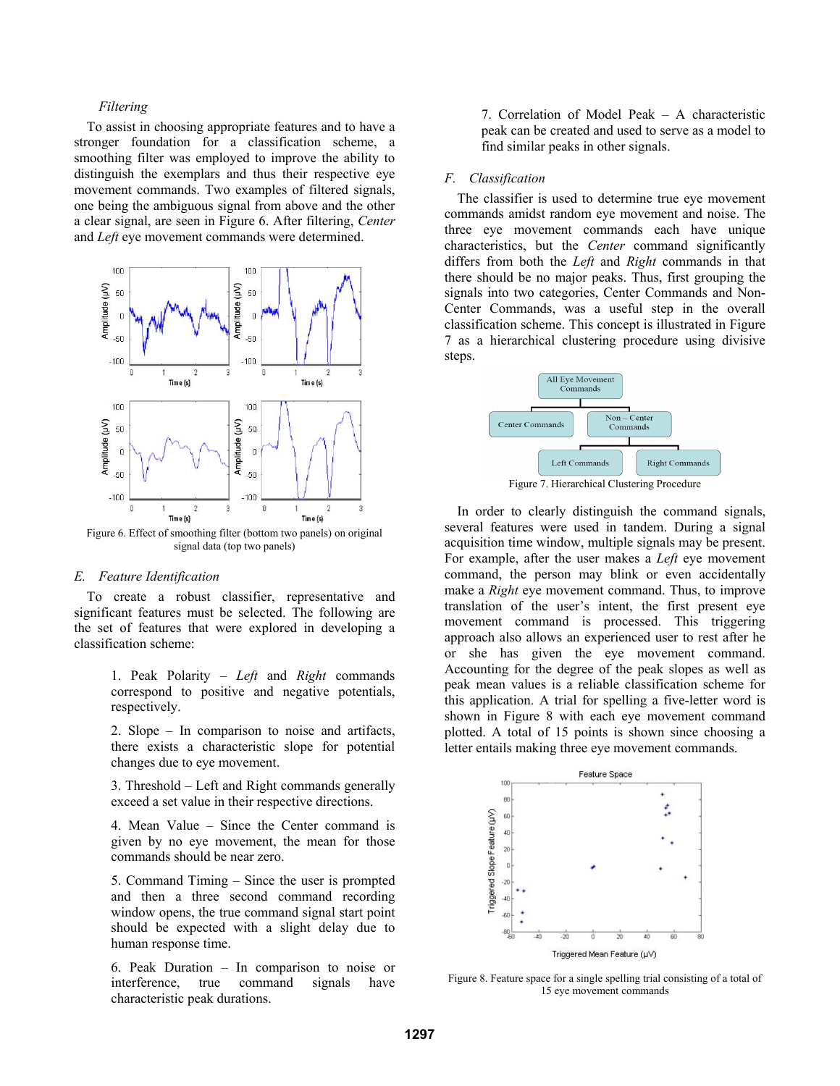# *Filtering*

To assist in choosing appropriate features and to have a stronger foundation for a classification scheme, a smoothing filter was employed to improve the ability to distinguish the exemplars and thus their respective eye movement commands. Two examples of filtered signals, one being the ambiguous signal from above and the other a clear signal, are seen in Figure 6. After filtering, *Center* and *Left* eye movement commands were determined.



Figure 6. Effect of smoothing filter (bottom two panels) on original signal data (top two panels)

#### *E. Feature Identification*

To create a robust classifier, representative and significant features must be selected. The following are the set of features that were explored in developing a classification scheme:

> 1. Peak Polarity – *Left* and *Right* commands correspond to positive and negative potentials, respectively.

> 2. Slope – In comparison to noise and artifacts, there exists a characteristic slope for potential changes due to eye movement.

> 3. Threshold – Left and Right commands generally exceed a set value in their respective directions.

> 4. Mean Value – Since the Center command is given by no eye movement, the mean for those commands should be near zero.

> 5. Command Timing – Since the user is prompted and then a three second command recording window opens, the true command signal start point should be expected with a slight delay due to human response time.

> 6. Peak Duration – In comparison to noise or interference, true command signals have characteristic peak durations.

7. Correlation of Model Peak – A characteristic peak can be created and used to serve as a model to find similar peaks in other signals.

# *F. Classification*

The classifier is used to determine true eye movement commands amidst random eye movement and noise. The three eye movement commands each have unique characteristics, but the *Center* command significantly differs from both the *Left* and *Right* commands in that there should be no major peaks. Thus, first grouping the signals into two categories, Center Commands and Non-Center Commands, was a useful step in the overall classification scheme. This concept is illustrated in Figure 7 as a hierarchical clustering procedure using divisive steps.



Figure 7. Hierarchical Clustering Procedure

In order to clearly distinguish the command signals, several features were used in tandem. During a signal acquisition time window, multiple signals may be present. For example, after the user makes a *Left* eye movement command, the person may blink or even accidentally make a *Right* eye movement command. Thus, to improve translation of the user's intent, the first present eye movement command is processed. This triggering approach also allows an experienced user to rest after he or she has given the eye movement command. Accounting for the degree of the peak slopes as well as peak mean values is a reliable classification scheme for this application. A trial for spelling a five-letter word is shown in Figure 8 with each eye movement command plotted. A total of 15 points is shown since choosing a letter entails making three eye movement commands.



Figure 8. Feature space for a single spelling trial consisting of a total of 15 eye movement commands